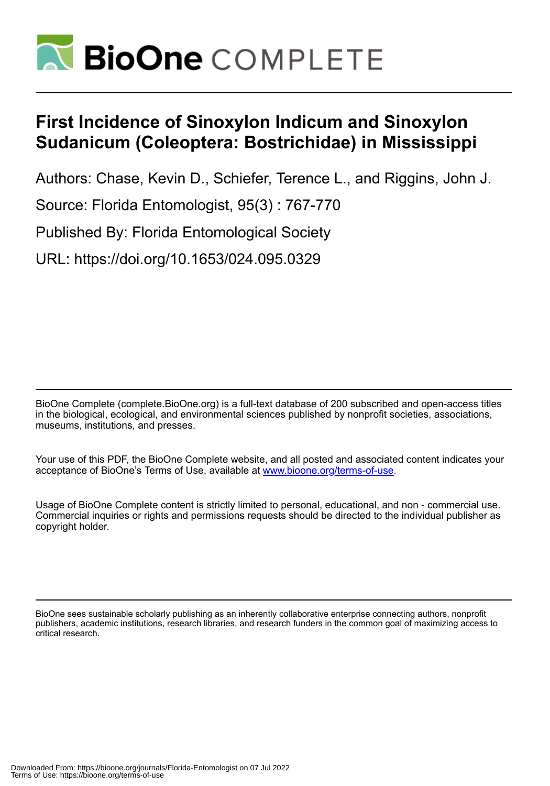

# **First Incidence of Sinoxylon Indicum and Sinoxylon Sudanicum (Coleoptera: Bostrichidae) in Mississippi**

Authors: Chase, Kevin D., Schiefer, Terence L., and Riggins, John J.

Source: Florida Entomologist, 95(3) : 767-770

Published By: Florida Entomological Society

URL: https://doi.org/10.1653/024.095.0329

BioOne Complete (complete.BioOne.org) is a full-text database of 200 subscribed and open-access titles in the biological, ecological, and environmental sciences published by nonprofit societies, associations, museums, institutions, and presses.

Your use of this PDF, the BioOne Complete website, and all posted and associated content indicates your acceptance of BioOne's Terms of Use, available at www.bioone.org/terms-of-use.

Usage of BioOne Complete content is strictly limited to personal, educational, and non - commercial use. Commercial inquiries or rights and permissions requests should be directed to the individual publisher as copyright holder.

BioOne sees sustainable scholarly publishing as an inherently collaborative enterprise connecting authors, nonprofit publishers, academic institutions, research libraries, and research funders in the common goal of maximizing access to critical research.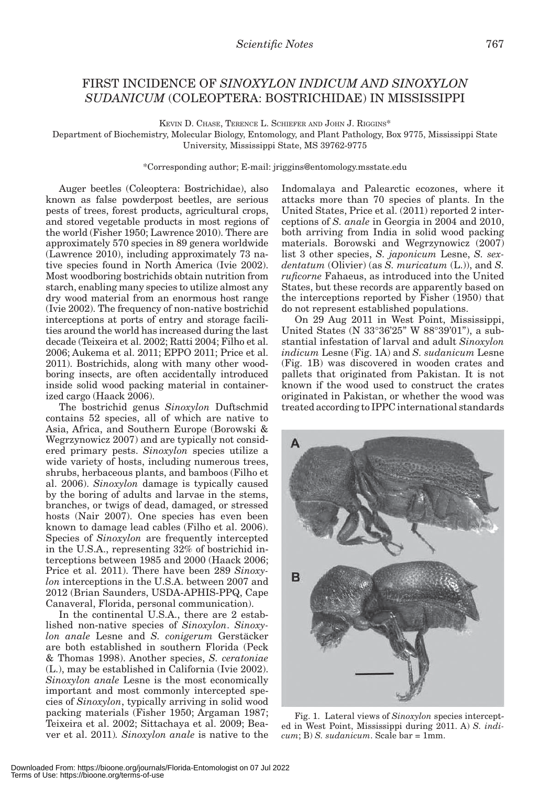## FIRST INCIDENCE OF *SINOXYLON INDICUM AND SINOXYLON SUDANICUM* (COLEOPTERA: BOSTRICHIDAE) IN MISSISSIPPI

KEVIN D. CHASE, TERENCE L. SCHIEFER AND JOHN J. RIGGINS\*

Department of Biochemistry, Molecular Biology, Entomology, and Plant Pathology, Box 9775, Mississippi State University, Mississippi State, MS 39762-9775

### \*Corresponding author; E-mail: jriggins@entomology.msstate.edu

Auger beetles (Coleoptera: Bostrichidae), also known as false powderpost beetles, are serious pests of trees, forest products, agricultural crops, and stored vegetable products in most regions of the world (Fisher 1950; Lawrence 2010). There are approximately 570 species in 89 genera worldwide (Lawrence 2010), including approximately 73 native species found in North America (Ivie 2002). Most woodboring bostrichids obtain nutrition from starch, enabling many species to utilize almost any dry wood material from an enormous host range (Ivie 2002). The frequency of non-native bostrichid interceptions at ports of entry and storage facilities around the world has increased during the last decade (Teixeira et al. 2002; Ratti 2004; Filho et al. 2006; Aukema et al. 2011; EPPO 2011; Price et al. 2011). Bostrichids, along with many other woodboring insects, are often accidentally introduced inside solid wood packing material in containerized cargo (Haack 2006).

The bostrichid genus *Sinoxylon* Duftschmid contains 52 species, all of which are native to Asia, Africa, and Southern Europe (Borowski & Wegrzynowicz 2007) and are typically not considered primary pests. *Sinoxylon* species utilize a wide variety of hosts, including numerous trees, shrubs, herbaceous plants, and bamboos (Filho et al. 2006). *Sinoxylon* damage is typically caused by the boring of adults and larvae in the stems, branches, or twigs of dead, damaged, or stressed hosts (Nair 2007). One species has even been known to damage lead cables (Filho et al. 2006). Species of *Sinoxylon* are frequently intercepted in the U.S.A., representing 32% of bostrichid interceptions between 1985 and 2000 (Haack 2006; Price et al. 2011). There have been 289 *Sinoxylon* interceptions in the U.S.A. between 2007 and 2012 (Brian Saunders, USDA-APHIS-PPQ, Cape Canaveral, Florida, personal communication).

In the continental U.S.A., there are 2 established non-native species of *Sinoxylon*. *Sinoxylon anale* Lesne and *S. conigerum* Gerstäcker are both established in southern Florida (Peck & Thomas 1998). Another species, *S. ceratoniae* (L.), may be established in California (Ivie 2002). *Sinoxylon anale* Lesne is the most economically important and most commonly intercepted species of *Sinoxylon*, typically arriving in solid wood packing materials (Fisher 1950; Argaman 1987; Teixeira et al. 2002; Sittachaya et al. 2009; Beaver et al. 2011)*. Sinoxylon anale* is native to the Indomalaya and Palearctic ecozones, where it attacks more than 70 species of plants. In the United States, Price et al. (2011) reported 2 interceptions of *S. anale* in Georgia in 2004 and 2010, both arriving from India in solid wood packing materials. Borowski and Wegrzynowicz (2007) list 3 other species, *S. japonicum* Lesne, *S. sexdentatum* (Olivier) (as *S. muricatum* (L.)), and *S. ruficorne* Fahaeus, as introduced into the United States, but these records are apparently based on the interceptions reported by Fisher (1950) that do not represent established populations.

On 29 Aug 2011 in West Point, Mississippi, United States (N 33°36'25" W 88°39'01"), a substantial infestation of larval and adult *Sinoxylon indicum* Lesne (Fig. 1A) and *S. sudanicum* Lesne (Fig. 1B) was discovered in wooden crates and pallets that originated from Pakistan. It is not known if the wood used to construct the crates originated in Pakistan, or whether the wood was treated according to IPPC international standards

Fig. 1. Lateral views of *Sinoxylon* species intercepted in West Point, Mississippi during 2011. A) *S. indi-*

*cum*; B) *S. sudanicum*. Scale bar = 1mm.

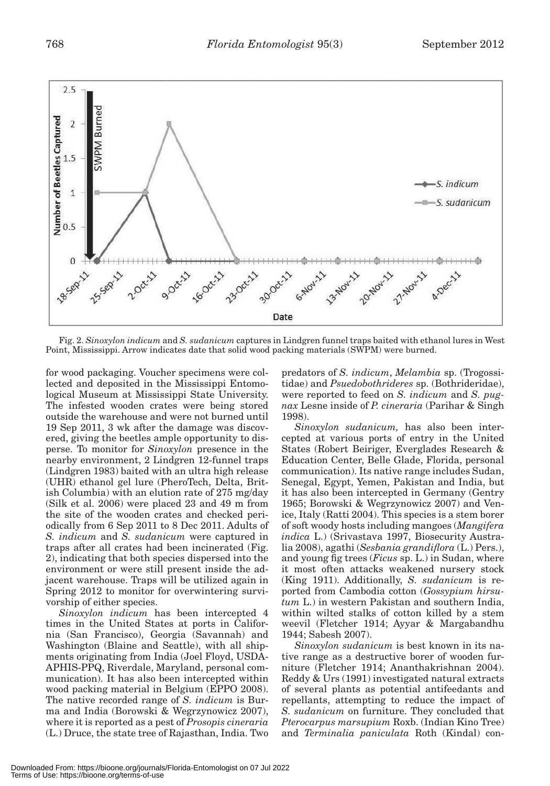

Fig. 2. *Sinoxylon indicum* and *S. sudanicum* captures in Lindgren funnel traps baited with ethanol lures in West Point, Mississippi. Arrow indicates date that solid wood packing materials (SWPM) were burned.

for wood packaging. Voucher specimens were collected and deposited in the Mississippi Entomological Museum at Mississippi State University. The infested wooden crates were being stored outside the warehouse and were not burned until 19 Sep 2011, 3 wk after the damage was discovered, giving the beetles ample opportunity to disperse. To monitor for *Sinoxylon* presence in the nearby environment, 2 Lindgren 12-funnel traps (Lindgren 1983) baited with an ultra high release (UHR) ethanol gel lure (PheroTech, Delta, British Columbia) with an elution rate of 275 mg/day (Silk et al. 2006) were placed 23 and 49 m from the site of the wooden crates and checked periodically from 6 Sep 2011 to 8 Dec 2011. Adults of *S. indicum* and *S. sudanicum* were captured in traps after all crates had been incinerated (Fig. 2), indicating that both species dispersed into the environment or were still present inside the adjacent warehouse. Traps will be utilized again in Spring 2012 to monitor for overwintering survivorship of either species.

*Sinoxylon indicum* has been intercepted 4 times in the United States at ports in California (San Francisco), Georgia (Savannah) and Washington (Blaine and Seattle), with all shipments originating from India (Joel Floyd, USDA-APHIS-PPQ, Riverdale, Maryland, personal communication). It has also been intercepted within wood packing material in Belgium (EPPO 2008). The native recorded range of *S. indicum* is Burma and India (Borowski & Wegrzynowicz 2007), where it is reported as a pest of *Prosopis cineraria* (L.) Druce, the state tree of Rajasthan, India. Two predators of *S. indicum*, *Melambia* sp. (Trogossitidae) and *Psuedobothrideres* sp. (Bothrideridae), were reported to feed on *S. indicum* and *S. pugnax* Lesne inside of *P. cineraria* (Parihar & Singh 1998).

*Sinoxylon sudanicum,* has also been intercepted at various ports of entry in the United States (Robert Beiriger, Everglades Research & Education Center, Belle Glade, Florida, personal communication). Its native range includes Sudan, Senegal, Egypt, Yemen, Pakistan and India, but it has also been intercepted in Germany (Gentry 1965; Borowski & Wegrzynowicz 2007) and Venice, Italy (Ratti 2004). This species is a stem borer of soft woody hosts including mangoes (*Mangifera indica* L.) (Srivastava 1997, Biosecurity Australia 2008), agathi (*Sesbania grandiflora* (L.) Pers.), and young fig trees (*Ficus* sp. L.) in Sudan, where it most often attacks weakened nursery stock (King 1911). Additionally, *S. sudanicum* is reported from Cambodia cotton (*Gossypium hirsutum* L.) in western Pakistan and southern India, within wilted stalks of cotton killed by a stem weevil (Fletcher 1914; Ayyar & Margabandhu 1944; Sabesh 2007).

*Sinoxylon sudanicum* is best known in its native range as a destructive borer of wooden furniture (Fletcher 1914; Ananthakrishnan 2004). Reddy & Urs (1991) investigated natural extracts of several plants as potential antifeedants and repellants, attempting to reduce the impact of *S. sudanicum* on furniture. They concluded that *Pterocarpus marsupium* Roxb. (Indian Kino Tree) and *Terminalia paniculata* Roth (Kindal) con-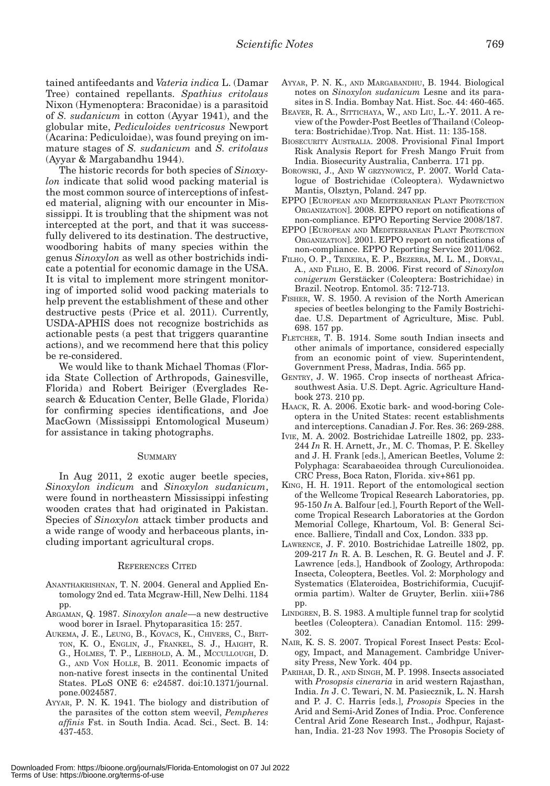tained antifeedants and *Vateria indica* L. (Damar Tree) contained repellants. *Spathius critolaus* Nixon (Hymenoptera: Braconidae) is a parasitoid of *S. sudanicum* in cotton (Ayyar 1941), and the globular mite, *Pediculoides ventricosus* Newport (Acarina: Pediculoidae), was found preying on immature stages of *S. sudanicum* and *S. critolaus*  (Ayyar & Margabandhu 1944).

The historic records for both species of *Sinoxylon* indicate that solid wood packing material is the most common source of interceptions of infested material, aligning with our encounter in Mississippi. It is troubling that the shipment was not intercepted at the port, and that it was successfully delivered to its destination. The destructive, woodboring habits of many species within the genus *Sinoxylon* as well as other bostrichids indicate a potential for economic damage in the USA. It is vital to implement more stringent monitoring of imported solid wood packing materials to help prevent the establishment of these and other destructive pests (Price et al. 2011). Currently, USDA-APHIS does not recognize bostrichids as actionable pests (a pest that triggers quarantine actions), and we recommend here that this policy be re-considered.

We would like to thank Michael Thomas (Florida State Collection of Arthropods, Gainesville, Florida) and Robert Beiriger (Everglades Research & Education Center, Belle Glade, Florida) for confirming species identifications, and Joe MacGown (Mississippi Entomological Museum) for assistance in taking photographs.

### **SUMMARY**

In Aug 2011, 2 exotic auger beetle species, *Sinoxylon indicum* and *Sinoxylon sudanicum*, were found in northeastern Mississippi infesting wooden crates that had originated in Pakistan. Species of *Sinoxylon* attack timber products and a wide range of woody and herbaceous plants, including important agricultural crops.

#### REFERENCES CITED

- ANANTHAKRISHNAN, T. N. 2004. General and Applied Entomology 2nd ed. Tata Mcgraw-Hill, New Delhi. 1184 pp.
- ARGAMAN, Q. 1987. *Sinoxylon anale*—a new destructive wood borer in Israel. Phytoparasitica 15: 257.
- AUKEMA, J. E., LEUNG, B., KOVACS, K., CHIVERS, C., BRIT-TON, K. O., ENGLIN, J., FRANKEL, S. J., HAIGHT, R. G., HOLMES, T. P., LIEBHOLD, A. M., MCCULLOUGH, D. G., AND VON HOLLE, B. 2011. Economic impacts of non-native forest insects in the continental United States. PLoS ONE 6: e24587. doi:10.1371/journal. pone.0024587.
- AYYAR, P. N. K. 1941. The biology and distribution of the parasites of the cotton stem weevil, *Pempheres affinis* Fst. in South India. Acad. Sci., Sect. B. 14: 437-453.
- AYYAR, P. N. K., AND MARGABANDHU, B. 1944. Biological notes on *Sinoxylon sudanicum* Lesne and its parasites in S. India. Bombay Nat. Hist. Soc. 44: 460-465.
- BEAVER, R. A., SITTICHAYA, W., AND LIU, L.-Y. 2011. A review of the Powder-Post Beetles of Thailand (Coleoptera: Bostrichidae).Trop. Nat. Hist. 11: 135-158.
- BIOSECURITY AUSTRALIA. 2008. Provisional Final Import Risk Analysis Report for Fresh Mango Fruit from India. Biosecurity Australia, Canberra. 171 pp.
- BOROWSKI, J., AND W GRZYNOWICZ, P. 2007. World Catalogue of Bostrichidae (Coleoptera). Wydawnictwo Mantis, Olsztyn, Poland. 247 pp.
- EPPO [EUROPEAN AND MEDITERRANEAN PLANT PROTECTION ORGANIZATION]. 2008. EPPO report on notifications of non-compliance. EPPO Reporting Service 2008/187.
- EPPO [EUROPEAN AND MEDITERRANEAN PLANT PROTECTION ORGANIZATION]. 2001. EPPO report on notifications of non-compliance. EPPO Reporting Service 2011/062.
- FILHO, O. P., TEIXEIRA, E. P., BEZERRA, M. L. M., DORVAL, A., AND FILHO, E. B. 2006. First record of *Sinoxylon conigerum* Gerstäcker (Coleoptera: Bostrichidae) in Brazil. Neotrop. Entomol. 35: 712-713.
- FISHER, W. S. 1950. A revision of the North American species of beetles belonging to the Family Bostrichidae. U.S. Department of Agriculture, Misc. Publ. 698. 157 pp.
- FLETCHER, T. B. 1914. Some south Indian insects and other animals of importance, considered especially from an economic point of view. Superintendent, Government Press, Madras, India. 565 pp.
- GENTRY, J. W. 1965. Crop insects of northeast Africasouthwest Asia. U.S. Dept. Agric. Agriculture Handbook 273. 210 pp.
- HAACK, R. A. 2006. Exotic bark- and wood-boring Coleoptera in the United States: recent establishments and interceptions. Canadian J. For. Res. 36: 269-288.
- IVIE, M. A. 2002. Bostrichidae Latreille 1802, pp. 233- 244 *In* R. H. Arnett, Jr., M. C. Thomas, P. E. Skelley and J. H. Frank [eds.], American Beetles, Volume 2: Polyphaga: Scarabaeoidea through Curculionoidea. CRC Press, Boca Raton, Florida. xiv+861 pp.
- KING, H. H. 1911. Report of the entomological section of the Wellcome Tropical Research Laboratories, pp. 95-150 *In* A. Balfour [ed.], Fourth Report of the Wellcome Tropical Research Laboratories at the Gordon Memorial College, Khartoum, Vol. B: General Science. Balliere, Tindall and Cox, London. 333 pp.
- LAWRENCE, J. F. 2010. Bostrichidae Latreille 1802, pp. 209-217 *In* R. A. B. Leschen, R. G. Beutel and J. F. Lawrence [eds.], Handbook of Zoology, Arthropoda: Insecta, Coleoptera, Beetles. Vol. 2: Morphology and Systematics (Elateroidea, Bostrichiformia, Cucujiformia partim). Walter de Gruyter, Berlin. xiii+786 pp.
- LINDGREN, B. S. 1983. A multiple funnel trap for scolytid beetles (Coleoptera). Canadian Entomol. 115: 299- 302.
- NAIR, K. S. S. 2007. Tropical Forest Insect Pests: Ecology, Impact, and Management. Cambridge University Press, New York. 404 pp.
- PARIHAR, D. R., AND SINGH, M. P. 1998. Insects associated with *Prosopsis cineraria* in arid western Rajasthan, India. *In* J. C. Tewari, N. M. Pasiecznik, L. N. Harsh and P. J. C. Harris [eds.], *Prosopis* Species in the Arid and Semi-Arid Zones of India. Proc. Conference Central Arid Zone Research Inst., Jodhpur, Rajasthan, India. 21-23 Nov 1993. The Prosopis Society of